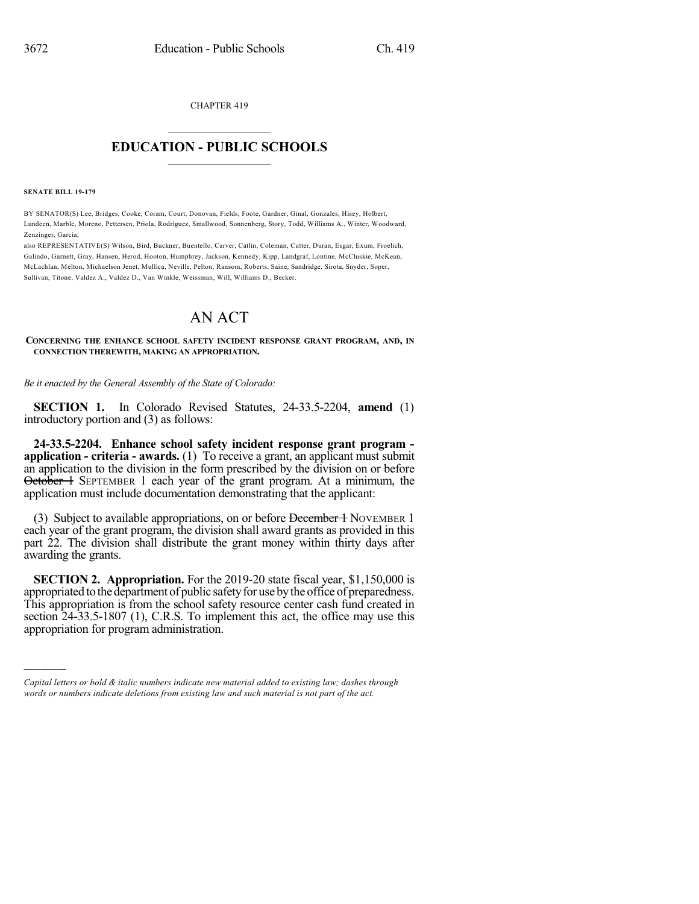CHAPTER 419

## $\overline{\phantom{a}}$  . The set of the set of the set of the set of the set of the set of the set of the set of the set of the set of the set of the set of the set of the set of the set of the set of the set of the set of the set o **EDUCATION - PUBLIC SCHOOLS**  $\_$   $\_$   $\_$   $\_$   $\_$   $\_$   $\_$   $\_$   $\_$

**SENATE BILL 19-179**

)))))

BY SENATOR(S) Lee, Bridges, Cooke, Coram, Court, Donovan, Fields, Foote, Gardner, Ginal, Gonzales, Hisey, Holbert, Lundeen, Marble, Moreno, Pettersen, Priola, Rodriguez, Smallwood, Sonnenberg, Story, Todd, Williams A., Winter, Woodward, Zenzinger, Garcia;

also REPRESENTATIVE(S) Wilson, Bird, Buckner, Buentello, Carver, Catlin, Coleman, Cutter, Duran, Esgar, Exum, Froelich, Galindo, Garnett, Gray, Hansen, Herod, Hooton, Humphrey, Jackson, Kennedy, Kipp, Landgraf, Lontine, McCluskie, McKean, McLachlan, Melton, Michaelson Jenet, Mullica, Neville, Pelton, Ransom, Roberts, Saine, Sandridge, Sirota, Snyder, Soper, Sullivan, Titone, Valdez A., Valdez D., Van Winkle, Weissman, Will, Williams D., Becker.

## AN ACT

**CONCERNING THE ENHANCE SCHOOL SAFETY INCIDENT RESPONSE GRANT PROGRAM, AND, IN CONNECTION THEREWITH, MAKING AN APPROPRIATION.**

*Be it enacted by the General Assembly of the State of Colorado:*

**SECTION 1.** In Colorado Revised Statutes, 24-33.5-2204, **amend** (1) introductory portion and (3) as follows:

**24-33.5-2204. Enhance school safety incident response grant program application - criteria - awards.** (1) To receive a grant, an applicant must submit an application to the division in the form prescribed by the division on or before October 1 SEPTEMBER 1 each year of the grant program. At a minimum, the application must include documentation demonstrating that the applicant:

(3) Subject to available appropriations, on or before December 1 NOVEMBER 1 each year of the grant program, the division shall award grants as provided in this part 22. The division shall distribute the grant money within thirty days after awarding the grants.

**SECTION 2. Appropriation.** For the 2019-20 state fiscal year, \$1,150,000 is appropriated to the department of public safety for use by the office of preparedness. This appropriation is from the school safety resource center cash fund created in section 24-33.5-1807 (1), C.R.S. To implement this act, the office may use this appropriation for program administration.

*Capital letters or bold & italic numbers indicate new material added to existing law; dashes through words or numbers indicate deletions from existing law and such material is not part of the act.*